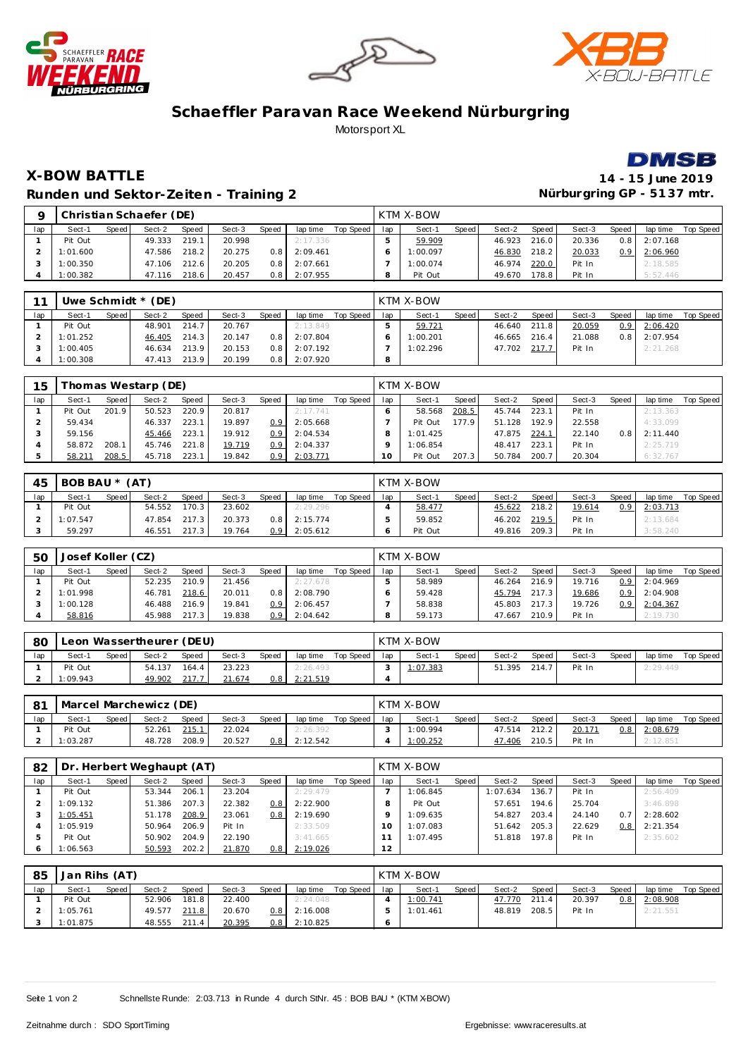





## **Schaeffler Paravan Race Weekend Nürburgring** Motorsport XL



## **X-BOW BATTLE 14 - 15 June 2019 Runden und Sektor-Zeiten - Training 2**

|     |          |       | Christian Schaefer (DE) |       |        |              |          |           |     | KTM X-BOW |       |        |       |        |                  |          |           |
|-----|----------|-------|-------------------------|-------|--------|--------------|----------|-----------|-----|-----------|-------|--------|-------|--------|------------------|----------|-----------|
| lap | Sect-1   | Speed | Sect-2                  | Speed | Sect-3 | <b>Speed</b> | lap time | Top Speed | lap | Sect-1    | Speed | Sect-2 | Speed | Sect-3 | Speed,           | lap time | Top Speed |
|     | Pit Out  |       | 49.333                  | 219.1 | 20.998 |              | 2:17.336 |           |     | 59.909    |       | 46.923 | 216.0 | 20.336 | 0.8 <sub>1</sub> | 2:07.168 |           |
|     | 1:01.600 |       | 47.586                  | 218.2 | 20.275 | 0.8          | 2:09.461 |           |     | 1:00.097  |       | 46.830 | 218.2 | 20.033 | 0.9 <sup>1</sup> | 2:06.960 |           |
|     | 1:00.350 |       | 47.106                  | 212.6 | 20.205 | 0.8          | 2:07.661 |           |     | 1:00.074  |       | 46.974 | 220.0 | Pit In |                  | 2:18.585 |           |
|     | 1:00.382 |       | 47.116                  | 218.6 | 20.457 | 0.8          | 2:07.955 |           |     | Pit Out   |       | 49.670 | 78.8  | Pit In |                  | 5:52.446 |           |

| 11  |          |       | Uwe Schmidt $*(DE)$ |       |        |       |          |           |     | <b>KTM X-BOW</b> |       |        |       |        |                  |          |           |
|-----|----------|-------|---------------------|-------|--------|-------|----------|-----------|-----|------------------|-------|--------|-------|--------|------------------|----------|-----------|
| lap | Sect-1   | Speed | Sect-2              | Speed | Sect-3 | Speed | lap time | Top Speed | lap | Sect-1           | Speed | Sect-2 | Speed | Sect-3 | Speed            | lap time | Top Speed |
|     | Pit Out  |       | 48.901              | 214.7 | 20.767 |       | 2:13.849 |           |     | 59.721           |       | 46.640 | 211.8 | 20.059 | 0.9 <sup>1</sup> | 2:06.420 |           |
|     | 1:01.252 |       | 46.405              | 214.3 | 20.147 | 0.8 I | 2:07.804 |           |     | 1:00.201         |       | 46.665 | 216.4 | 21.088 | 0.8 <sub>1</sub> | 2:07.954 |           |
|     | 1:00.405 |       | 46.634              | 213.9 | 20.153 | 0.8   | 2:07.192 |           |     | 1:02.296         |       | 47.702 | 217.7 | Pit In |                  | 2:21.268 |           |
|     | 1:00.308 |       | 47.413              | 213.9 | 20.199 | 0.8   | 2:07.920 |           |     |                  |       |        |       |        |                  |          |           |

| 15  |         |       | homas Westarp (DE) |       |        |                  |          |           |     | <b>KTM X-BOW</b> |                    |        |       |        |       |          |           |
|-----|---------|-------|--------------------|-------|--------|------------------|----------|-----------|-----|------------------|--------------------|--------|-------|--------|-------|----------|-----------|
| lap | Sect-1  | Speed | Sect-2             | Speed | Sect-3 | Speed            | lap time | Top Speed | lap | Sect-1           | Speed              | Sect-2 | Speed | Sect-3 | Speed | lap time | Top Speed |
|     | Pit Out | 201.9 | 50.523             | 220.9 | 20.817 |                  | 2:17.741 |           |     | 58.568           | 208.5              | 45.744 | 223.1 | Pit In |       | 2:13.363 |           |
|     | 59.434  |       | 46.337             | 223.1 | 19.897 | 0.9              | 2:05.668 |           |     | Pit Out          | 177.9 <sub>1</sub> | 51.128 | 192.9 | 22.558 |       | 4:33.099 |           |
|     | 59.156  |       | 45.466             | 223.1 | 19.912 | 0.9              | 2:04.534 |           |     | 1:01.425         |                    | 47.875 | 224.7 | 22.140 | 0.8   | 2:11.440 |           |
|     | 58.872  | 208.1 | 45.746             | 221.8 | 19.719 | 0.9 <sub>0</sub> | 2:04.337 |           |     | 1:06.854         |                    | 48.417 | 223.1 | Pit In |       | 2:25.719 |           |
|     | 58.211  | 208.5 | 45.718             | 223.1 | 19.842 | 0.9              | 2:03.771 |           | 10  | Pit Out          | 207.3              | 50.784 | 200.7 | 20.304 |       | 6:32.767 |           |

| 45  | BOB BAU * (AT) |              |        |       |        |                  |          |           |     | KTM X-BOW |       |              |       |        |       |          |           |
|-----|----------------|--------------|--------|-------|--------|------------------|----------|-----------|-----|-----------|-------|--------------|-------|--------|-------|----------|-----------|
| lap | Sect-1         | <b>Speed</b> | Sect-2 | Speed | Sect-3 | Speed            | lap time | Top Speed | lap | Sect-1    | Speed | Sect-2       | Speed | Sect-3 | Speed | lap time | Top Speed |
|     | Pit Out        |              | 54.552 | 170.3 | 23.602 |                  | 2:29.296 |           |     | 58.477    |       | 45.622       | 218.2 | 19.614 | 0.9   | 2:03.713 |           |
|     | 1:07.547       |              | 47.854 | 217.3 | 20.373 | 0.8 <sub>1</sub> | 2:15.774 |           |     | 59.852    |       | 46.202 219.5 |       | Pit In |       | 2:13.684 |           |
|     | 59.297         |              | 46.551 | 217.3 | 19.764 | 0.9              | 2:05.612 |           |     | Pit Out   |       | 49.816       | 209.3 | Pit In |       | 3:58.240 |           |

| <b>50</b> | Josef Koller (CZ) |       |        |              |        |       |          |           |     | KTM X-BOW |       |        |       |        |                  |          |           |
|-----------|-------------------|-------|--------|--------------|--------|-------|----------|-----------|-----|-----------|-------|--------|-------|--------|------------------|----------|-----------|
| lap       | Sect-1            | Speed | Sect-2 | <b>Speed</b> | Sect-3 | Speed | lap time | Top Speed | lap | Sect-1    | Speed | Sect-2 | Speed | Sect-3 | Speed            | lap time | Top Speed |
|           | Pit Out           |       | 52.235 | 210.9        | 21.456 |       | 2:27.678 |           |     | 58.989    |       | 46.264 | 216.9 | 19.716 | 0.9 <sup>1</sup> | 2:04.969 |           |
|           | 1:01.998          |       | 46.781 | 218.6        | 20.011 | 0.8   | 2:08.790 |           |     | 59.428    |       | 45.794 | 217.3 | 19.686 | 0.9 <sub>1</sub> | 2:04.908 |           |
|           | 1:00.128          |       | 46.488 | 216.9        | 19.841 | 0.9   | 2:06.457 |           |     | 58.838    |       | 45.803 | 217.3 | 19.726 | 0.91             | 2:04.367 |           |
|           | 58.816            |       | 45.988 | 217.3        | 19.838 | 0.9   | 2:04.642 |           |     | 59.173    |       | 47.667 | 210.9 | Pit In |                  | 2:19.730 |           |

| 80  |          |       | Leon Wassertheurer (DEU) |       |        |       |          |           |     | KTM X-BOW |         |        |       |        |       |          |           |
|-----|----------|-------|--------------------------|-------|--------|-------|----------|-----------|-----|-----------|---------|--------|-------|--------|-------|----------|-----------|
| lap | Sect-1   | Speed | Sect-2                   | Speed | Sect-3 | Speed | lap time | Top Speed | lap | Sect-1    | Speed I | Sect-2 | Speed | Sect-3 | Speed | lap time | Top Speed |
|     | Pit Out  |       | 54.137                   | 164.4 | 23.223 |       | 2:26.493 |           |     | 1:07.383  |         | 51.395 | 214.7 | Pit In |       | 2:29.449 |           |
|     | 1:09.943 |       | 49.902                   | 217.7 | 21.674 | 0.8   | 2:21.519 |           |     |           |         |        |       |        |       |          |           |

| -81 | Marcel Marchewicz (DE) |       |        |       |        |              |          |                 | KTM X-BOW |       |        |       |        |       |          |           |
|-----|------------------------|-------|--------|-------|--------|--------------|----------|-----------------|-----------|-------|--------|-------|--------|-------|----------|-----------|
| lap | Sect-1                 | Speed | Sect-2 | Speed | Sect-3 | <b>Speed</b> | lap time | Top Speed I lap | Sect-1    | Speed | Sect-2 | Speed | Sect-3 | Speed | lap time | Top Speed |
|     | Pit Out                |       | 52.261 | 215.1 | 22.024 |              | 2:26.392 |                 | 1:00.994  |       | 47.514 | 212.2 | 20.171 | $0.8$ | 2:08.679 |           |
|     | 1:03.287               |       | 48.728 | 208.9 | 20.527 | 0.8          | 2:12.542 |                 | 1:00.252  |       | 47.406 | 210.5 | Pit In |       | 2:12.851 |           |

| 82  |          |       | Dr. Herbert Weghaupt (AT) |       |        |       |          |           |     | KTM X-BOW |       |          |       |        |       |          |           |
|-----|----------|-------|---------------------------|-------|--------|-------|----------|-----------|-----|-----------|-------|----------|-------|--------|-------|----------|-----------|
| lap | Sect-1   | Speed | Sect-2                    | Speed | Sect-3 | Speed | lap time | Top Speed | lap | Sect-1    | Speed | Sect-2   | Speed | Sect-3 | Speed | lap time | Top Speed |
|     | Pit Out  |       | 53.344                    | 206.7 | 23.204 |       | 2:29.479 |           |     | 1:06.845  |       | 1:07.634 | 136.7 | Pit In |       | 2:56.409 |           |
|     | 1:09.132 |       | 51.386                    | 207.3 | 22.382 | 0.8   | 2:22.900 |           |     | Pit Out   |       | 57.651   | 194.6 | 25.704 |       | 3:46.898 |           |
|     | 1:05.451 |       | 51.178                    | 208.9 | 23.061 | 0.8   | 2:19.690 |           |     | 1:09.635  |       | 54.827   | 203.4 | 24.140 | 0.7   | 2:28.602 |           |
|     | 1:05.919 |       | 50.964                    | 206.9 | Pit In |       | 2:33.509 |           |     | 1:07.083  |       | 51.642   | 205.3 | 22.629 | 0.8   | 2:21.354 |           |
|     | Pit Out  |       | 50.902                    | 204.9 | 22.190 |       | 3:41.665 |           |     | 1:07.495  |       | 51.818   | 197.8 | Pit In |       | 2:35.602 |           |
|     | 1:06.563 |       | 50.593                    | 202.2 | 21.870 | 0.8   | 2:19.026 |           | 12  |           |       |          |       |        |       |          |           |

| 85  | Jan Rihs (AT) |       |        |       |        |       |          |           |     | KTM X-BOW |         |        |         |        |       |          |           |
|-----|---------------|-------|--------|-------|--------|-------|----------|-----------|-----|-----------|---------|--------|---------|--------|-------|----------|-----------|
| lap | Sect-1        | Speed | Sect-2 | Speed | Sect-3 | Speed | lap time | Top Speed | lap | Sect-1    | Speed i | Sect-2 | Speed I | Sect-3 | Speed | lap time | Top Speed |
|     | Pit Out       |       | 52.906 | 181.8 | 22.400 |       | 2:24.048 |           |     | 1:00.741  |         | 47.770 | 211.4   | 20.397 | 0.8   | 2:08.908 |           |
|     | 1:05.761      |       | 49.577 | 211.8 | 20.670 | 0.8   | 2:16.008 |           |     | 1:01.461  |         | 48.819 | 208.5   | Pit In |       | 2:21.551 |           |
|     | 1:01.875      |       | 48.555 | 211.4 | 20.395 | 0.8   | 2:10.825 |           |     |           |         |        |         |        |       |          |           |